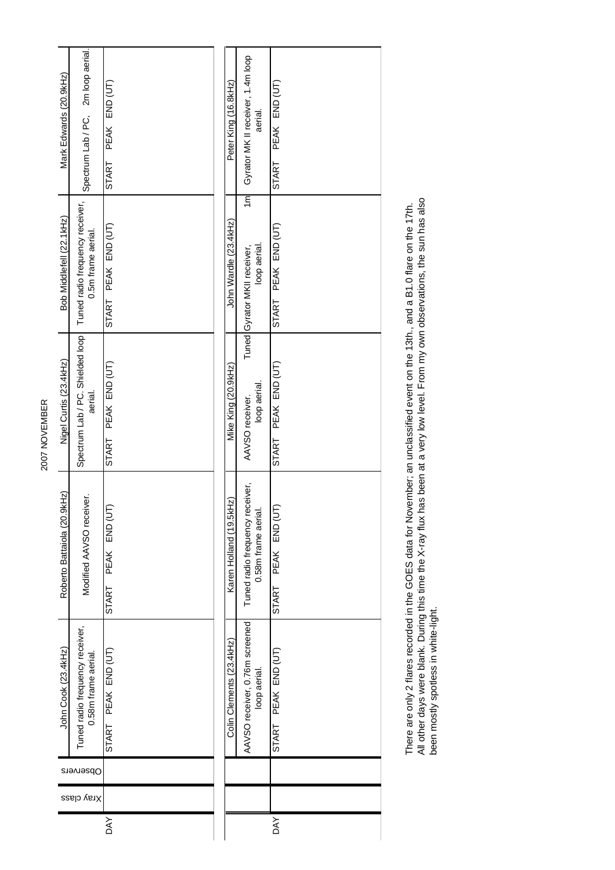| 2007 NOVEMBER | Mark Edwards (20.9kHz)      | Spectrum Lab / PC, 2m loop aerial.                     | PEAK END (UT)                 |  | Peter King (16.8kHz)     | Gyrator MK II receiver, 1.4m loop<br>aerial.                   | PEAK END (UT)       |
|---------------|-----------------------------|--------------------------------------------------------|-------------------------------|--|--------------------------|----------------------------------------------------------------|---------------------|
|               |                             |                                                        | <b>START</b>                  |  |                          |                                                                | START               |
|               | Bob Middlefell (22.1kHz)    | Tuned radio frequency receiver,<br>0.5m frame aerial.  | START PEAK END (UT)           |  | John Wardle (23.4kHz)    | $\overline{m}$<br>loop aerial.<br>Tuned Gyrator MKII receiver, | START PEAK END (UT) |
|               | Nigel Curtis (23.4kHz)      | Spectrum Lab / PC. Shielded loop<br>aerial.            | PEAK END (UT)<br><b>START</b> |  | Mike King (20.9kHz)      | loop aerial.<br>AAVSO receiver.                                | START PEAK END (UT) |
|               | Roberto Battaiola (20.9kHz) | Modified AAVSO receiver.                               | PEAK END (UT<br>START         |  | Karen Holland (19.5kHz)  | Tuned radio frequency receiver,<br>0.58m frame aerial.         | START PEAK END (UT  |
|               | John Cook (23.4kHz)         | Tuned radio frequency receiver,<br>0.58m frame aerial. | START PEAK END (UT)           |  | Colin Clements (23.4kHz) | AAVSO receiver, 0.76m screened<br>loop aerial.                 | START PEAK END (UT) |
|               | Observers                   |                                                        |                               |  |                          |                                                                |                     |
|               | Xray class                  |                                                        | <b>DAY</b>                    |  |                          |                                                                |                     |
|               |                             |                                                        |                               |  |                          |                                                                | <b>DAY</b>          |

There are only 2 flares recorded in the GOES data for November; an unclassified event on the 13th., and a B1.0 flare on the 17th.<br>All other days were blank. During this time the X-ray flux has been at a very low level. Fro All other days were blank. During this time the X-ray flux has been at a very low level. From my own observations, the sun has also There are only 2 flares recorded in the GOES data for November; an unclassified event on the 13th., and a B1.0 flare on the 17th. been mostly spotless in white-light.